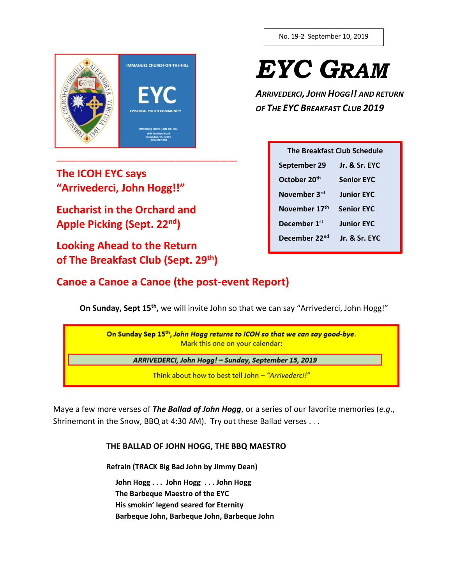

No. 19-2 September 10, 2019

 *EYC GRAM*

*ARRIVEDERCI, JOHN HOGG!! AND RETURN OF THE EYC BREAKFAST CLUB 2019*

| The Breakfast Club Schedule |                   |  |
|-----------------------------|-------------------|--|
| September 29                | Jr. & Sr. EYC     |  |
| October 20 <sup>th</sup>    | <b>Senior FYC</b> |  |
| November 3 <sup>rd</sup>    | <b>Junior EYC</b> |  |
| November 17 <sup>th</sup>   | <b>Senior EYC</b> |  |
| December 1 <sup>st</sup>    | Junior FYC        |  |
| December 22 <sup>nd</sup>   | Ir. & Sr. FYC     |  |
|                             |                   |  |

**The ICOH EYC says "Arrivederci, John Hogg!!"** 

**Eucharist in the Orchard and Apple Picking (Sept. 22nd)**

**Looking Ahead to the Return of The Breakfast Club (Sept. 29th)**

**\_\_\_\_\_\_\_\_\_\_\_\_\_\_\_\_\_\_\_\_\_\_\_\_\_\_\_\_\_\_\_\_\_\_\_\_\_\_\_\_\_**

# **Canoe a Canoe a Canoe (the post-event Report)**

**On Sunday, Sept 15<sup>th</sup>,** we will invite John so that we can say "Arrivederci, John Hogg!"

| On Sunday Sep 15th, John Hogg returns to ICOH so that we can say good-bye.<br>Mark this one on your calendar: |  |
|---------------------------------------------------------------------------------------------------------------|--|
| ARRIVEDERCI, John Hogg! - Sunday, September 15, 2019                                                          |  |
| Think about how to best tell John - "Arrivederci!"                                                            |  |

Maye a few more verses of *The Ballad of John Hogg*, or a series of our favorite memories (*e.g*., Shrinemont in the Snow, BBQ at 4:30 AM). Try out these Ballad verses . . .

**THE BALLAD OF JOHN HOGG, THE BBQ MAESTRO**

**Refrain (TRACK Big Bad John by Jimmy Dean)**

 **John Hogg . . . John Hogg . . . John Hogg The Barbeque Maestro of the EYC**

 **His smokin' legend seared for Eternity** 

 **Barbeque John, Barbeque John, Barbeque John**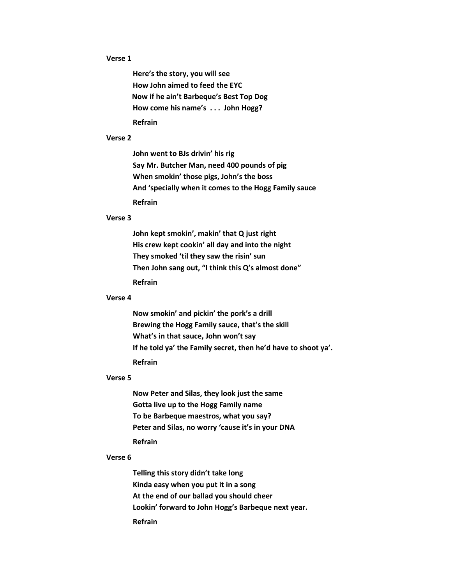## **Verse 1**

**Here's the story, you will see How John aimed to feed the EYC Now if he ain't Barbeque's Best Top Dog How come his name's . . . John Hogg? Refrain**

#### **Verse 2**

**John went to BJs drivin' his rig Say Mr. Butcher Man, need 400 pounds of pig When smokin' those pigs, John's the boss And 'specially when it comes to the Hogg Family sauce Refrain**

## **Verse 3**

**John kept smokin', makin' that Q just right His crew kept cookin' all day and into the night They smoked 'til they saw the risin' sun Then John sang out, "I think this Q's almost done" Refrain**

#### **Verse 4**

**Now smokin' and pickin' the pork's a drill Brewing the Hogg Family sauce, that's the skill What's in that sauce, John won't say If he told ya' the Family secret, then he'd have to shoot ya'. Refrain**

## **Verse 5**

**Now Peter and Silas, they look just the same Gotta live up to the Hogg Family name To be Barbeque maestros, what you say? Peter and Silas, no worry 'cause it's in your DNA Refrain**

#### **Verse 6**

**Telling this story didn't take long Kinda easy when you put it in a song At the end of our ballad you should cheer Lookin' forward to John Hogg's Barbeque next year. Refrain**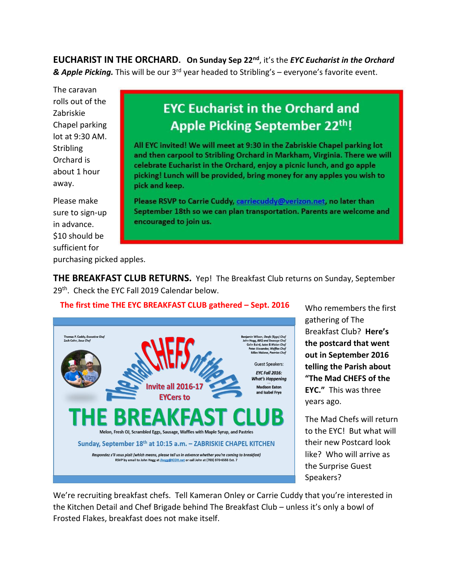**EUCHARIST IN THE ORCHARD. On Sunday Sep 22nd** , it's the *EYC Eucharist in the Orchard*  **& Apple Picking.** This will be our 3<sup>rd</sup> year headed to Stribling's – everyone's favorite event.

**EYC Eucharist in the Orchard and** 

**Apple Picking September 22th!** 

All EYC invited! We will meet at 9:30 in the Zabriskie Chapel parking lot and then carpool to Stribling Orchard in Markham, Virginia. There we will celebrate Eucharist in the Orchard, enjoy a picnic lunch, and go apple picking! Lunch will be provided, bring money for any apples you wish to

Please RSVP to Carrie Cuddy, carriecuddy@verizon.net, no later than September 18th so we can plan transportation. Parents are welcome and

The caravan rolls out of the Zabriskie Chapel parking lot at 9:30 AM. **Stribling** Orchard is about 1 hour away.

Please make sure to sign-up in advance. \$10 should be sufficient for

purchasing picked apples.

**THE BREAKFAST CLUB RETURNS.** Yep!The Breakfast Club returns on Sunday, September 29<sup>th</sup>. Check the EYC Fall 2019 Calendar below.

# **The first time THE EYC BREAKFAST CLUB gathered – Sept. 2016**

encouraged to join us.

pick and keep.



Who remembers the first gathering of The Breakfast Club? **Here's the postcard that went out in September 2016 telling the Parish about "The Mad CHEFS of the EYC."** This was three years ago.

The Mad Chefs will return to the EYC! But what will their new Postcard look like? Who will arrive as the Surprise Guest Speakers?

We're recruiting breakfast chefs. Tell Kameran Onley or Carrie Cuddy that you're interested in the Kitchen Detail and Chef Brigade behind The Breakfast Club – unless it's only a bowl of Frosted Flakes, breakfast does not make itself.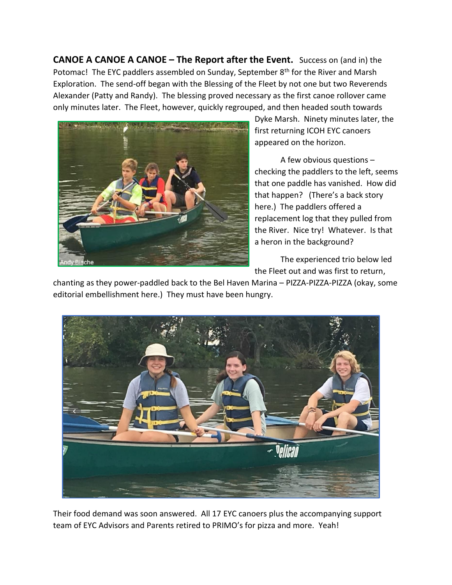**CANOE A CANOE A CANOE – The Report after the Event.** Success on (and in) the Potomac! The EYC paddlers assembled on Sunday, September 8<sup>th</sup> for the River and Marsh Exploration. The send-off began with the Blessing of the Fleet by not one but two Reverends Alexander (Patty and Randy). The blessing proved necessary as the first canoe rollover came only minutes later. The Fleet, however, quickly regrouped, and then headed south towards



Dyke Marsh. Ninety minutes later, the first returning ICOH EYC canoers appeared on the horizon.

A few obvious questions – checking the paddlers to the left, seems that one paddle has vanished. How did that happen? (There's a back story here.) The paddlers offered a replacement log that they pulled from the River. Nice try! Whatever. Is that a heron in the background?

The experienced trio below led the Fleet out and was first to return,

chanting as they power-paddled back to the Bel Haven Marina – PIZZA-PIZZA-PIZZA (okay, some editorial embellishment here.) They must have been hungry.



Their food demand was soon answered. All 17 EYC canoers plus the accompanying support team of EYC Advisors and Parents retired to PRIMO's for pizza and more. Yeah!